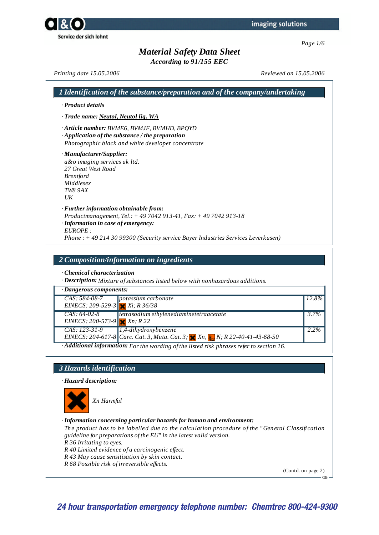*According to 91/155 EEC*

*Printing date 15.05.2006 Reviewed on 15.05.2006*

| 1 Identification of the substance/preparation and of the company/undertaking                                                                                                                                                                  |       |
|-----------------------------------------------------------------------------------------------------------------------------------------------------------------------------------------------------------------------------------------------|-------|
| · Product details                                                                                                                                                                                                                             |       |
| · Trade name: Neutol, Neutol liq. WA                                                                                                                                                                                                          |       |
| Article number: BVME6, BVMJF, BVMHD, BPQYD<br>$\cdot$ Application of the substance / the preparation<br>Photographic black and white developer concentrate                                                                                    |       |
| · Manufacturer/Supplier:<br>a&o imaging services uk ltd.<br>27 Great West Road<br><b>Brentford</b><br>Middlesex<br>TW8 9AX<br>$U\bar{K}$                                                                                                      |       |
| · Further information obtainable from:<br>Productmanagement, Tel.: +49 7042 913-41, Fax: +49 7042 913-18<br>· Information in case of emergency:<br>EUROPE:<br>Phone: +49 214 30 99300 (Security service Bayer Industries Services Leverkusen) |       |
| 2 Composition/information on ingredients                                                                                                                                                                                                      |       |
| Chemical characterization<br>· Description: Mixture of substances listed below with nonhazardous additions.                                                                                                                                   |       |
| · Dangerous components:                                                                                                                                                                                                                       |       |
| CAS: 584-08-7<br>potassium carbonate                                                                                                                                                                                                          | 12.8% |
|                                                                                                                                                                                                                                               |       |
| EINECS: 209-529-3 $Xi; R36/38$<br>tetrasodium ethylenediaminetetraacetate<br>$CAS: 64-02-8$<br>EINECS: 200-573-9 $x \cdot R$ 22                                                                                                               | 3.7%  |
| CAS: 123-31-9<br>1,4-dihydroxybenzene<br>EINECS: 204-617-8<br><i>Carc. Cat. 3, Muta. Cat. 3;</i> X <sub>R</sub> , X <sub>n</sub> , <sub>1</sub> N; R 22-40-41-43-68-50                                                                        | 2.2%  |





#### *· Information concerning particular hazards for human and environment:*

*The product has to be labelled due to the calculation procedure of the "General Classification guideline for preparations of the EU" in the latest valid version.*

*R 36 Irritating to eyes.*

*R 40 Limited evidence of a carcinogenic ef ect.*

*R 43 May cause sensitisation by skin contact.*

*R 68 Possible risk of irreversible ef ects.*

(Contd. on page 2)

GB

**24 hour transportation emergency telephone number: Chemtrec 800-424-9300**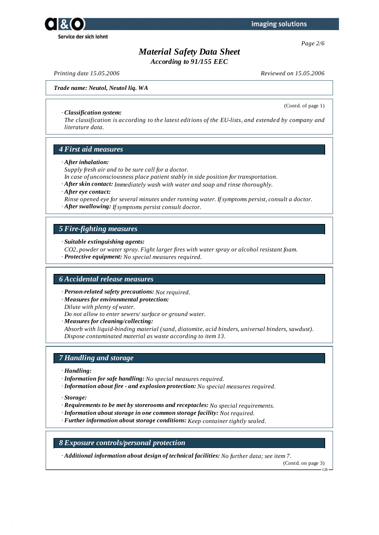



*According to 91/155 EEC*

*Printing date 15.05.2006 Reviewed on 15.05.2006*

(Contd. of page 1)

*Trade name: Neutol, Neutol liq. WA*

#### *· Classification system:*

*The classification is according to the latest editions of the EU-lists, and extended by company and literature data.*

# *4 First aid measures*

*· After inhalation:*

*Supply fresh air and to be sure call for a doctor.*

- *In case of unconsciousness place patient stably in side position for transportation.*
- *· After skin contact: Immediately wash with water and soap and rinse thoroughly.*
- *· After eye contact:*
- *Rinse opened eye for several minutes under running water. Ifsymptoms persist, consult a doctor.*
- *· After swallowing: Ifsymptoms persist consult doctor.*

# *5 Fire-fighting measures*

*· Suitable extinguishing agents:*

*CO2, powder or water spray. Fight larger fires with water spray or alcohol resistant foam.*

*· Protective equipment: No special measures required.*

### *6 Accidental release measures*

*· Person-related safety precautions: Not required.*

*· Measures for environmental protection:*

*Dilute with plenty of water.*

*Do not allow to enter sewers/ surface or ground water.*

*· Measures for cleaning/collecting:*

*Absorb with liquid-binding material (sand, diatomite, acid binders, universal binders, sawdust). Dispose contaminated material as waste according to item 13.*

# *7 Handling and storage*

- *· Handling:*
- *· Information for safe handling: No special measures required.*
- *· Information about fire - and explosion protection: No special measures required.*

*· Storage:*

- *· Requirements to be met by storerooms and receptacles: No special requirements.*
- *· Information about storage in one common storage facility: Not required.*
- *· Further information about storage conditions: Keep container tightly sealed.*

### *8 Exposure controls/personal protection*

*· Additional information about design of technical facilities: No further data; see item 7.*

(Contd. on page 3)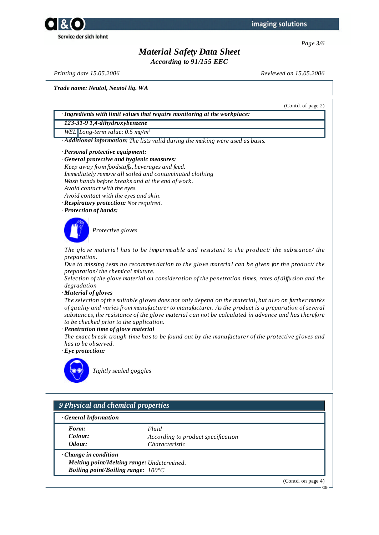



*According to 91/155 EEC*

*Printing date 15.05.2006 Reviewed on 15.05.2006*

*Trade name: Neutol, Neutol liq. WA*

(Contd. of page 2) *· Ingredients with limit values that require monitoring at the workplace: 123-31-9 1,4-dihydroxybenzene WEL Long-term value: 0.5 mg/m³ · Additional information: The lists valid during the making were used as basis. · Personal protective equipment: · General protective and hygienic measures: Keep away from foodstufs, beverages and feed. Immediately remove all soiled and contaminated clothing Wash hands before breaks and at the end of work. Avoid contact with the eyes. Avoid contact with the eyes and skin. · Respiratory protection: Not required. · Protection of hands: Protective gloves The glove material has to be impermeable and resistant to the product/ the substance/ the preparation. Due to missing tests no recommendation to the glove material can be given for the product/ the preparation/ the chemical mixture. Selection of the glove material on consideration of the penetration times, rates of dif usion and the degradation · Material of gloves* The selection of the suitable gloves does not only depend on the material, but also on further marks *of quality and varies from manufacturer to manufacturer. As the product is a preparation of several substances, the resistance of the glove material can not be calculated in advance and has therefore to be checked prior to the application. · Penetration time of glove material The exact break trough time has to be found out by the manufacturer of the protective gloves and has to be observed. · Eye protection: Tightly sealed goggles 9 Physical and chemical properties · General Information*

*Form: Fluid*

*Colour: According to product specification Odour: Characteristic*

*· Change in condition Melting point/Melting range: Undetermined. Boiling point/Boiling range: 100°C*

(Contd. on page 4)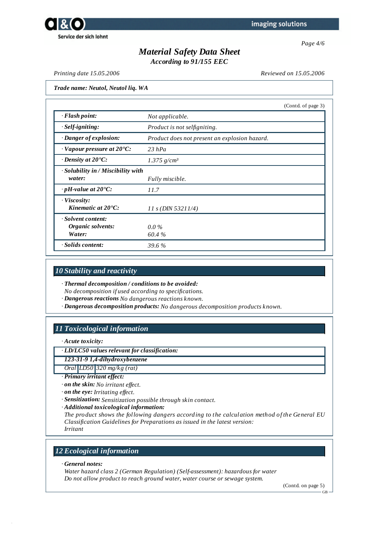



*According to 91/155 EEC*

*Printing date 15.05.2006 Reviewed on 15.05.2006*

*Trade name: Neutol, Neutol liq. WA*

|                                                    |                                               | (Contd. of page 3) |
|----------------------------------------------------|-----------------------------------------------|--------------------|
| $\cdot$ Flash point:                               | Not applicable.                               |                    |
| $·$ <i>Self-igniting</i> :                         | Product is not selfigniting.                  |                    |
| · Danger of explosion:                             | Product does not present an explosion hazard. |                    |
| $\cdot$ Vapour pressure at 20 $\cdot$ C:           | $23$ hPa                                      |                    |
| $\cdot$ Density at 20 $\degree$ C:                 | $1.375$ g/cm <sup>3</sup>                     |                    |
| · Solubility in / Miscibility with<br>water:       | Fully miscible.                               |                    |
| $\cdot$ pH-value at 20 $\degree$ C:                | 11.7                                          |                    |
| $\cdot$ Viscosity:<br>Kinematic at $20^{\circ}$ C: | 11 s (DIN 53211/4)                            |                    |
| · Solvent content:<br>Organic solvents:<br>Water:  | $0.0\%$<br>60.4%                              |                    |
| · Solids content:                                  | 39.6 %                                        |                    |

# *10 Stability and reactivity*

*· Thermal decomposition / conditions to be avoided:*

*No decomposition if used according to specifications.*

*· Dangerous reactions No dangerous reactions known.*

*· Dangerous decomposition products: No dangerous decomposition products known.*

# *11 Toxicological information*

*· Acute toxicity:*

*· LD/LC50 values relevant for classification:*

*123-31-9 1,4-dihydroxybenzene*

*Oral LD50 320 mg/kg (rat)*

*· Primary irritant effect:*

*· on the skin: No irritant ef ect.*

*· on the eye: Irritating ef ect.*

*· Sensitization: Sensitization possible through skin contact.*

*· Additional toxicological information:*

*The product shows the following dangers according to the calculation method of the General EU Classification Guidelines for Preparations as issued in the latest version: Irritant*

# *12 Ecological information*

*· General notes:*

*Water hazard class 2 (German Regulation) (Self-assessment): hazardous for water Do not allow product to reach ground water, water course or sewage system.*

(Contd. on page 5)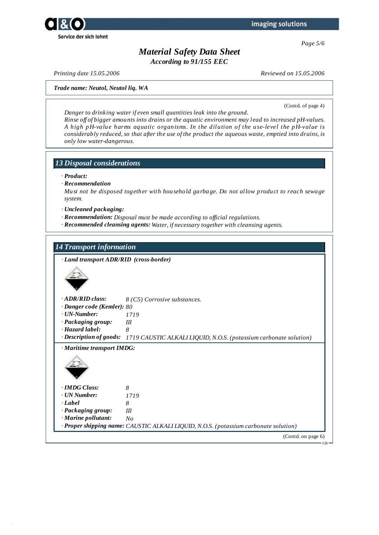

*Page 5/6*

# *Material Safety Data Sheet*

*According to 91/155 EEC*

*Printing date 15.05.2006 Reviewed on 15.05.2006*

*Trade name: Neutol, Neutol liq. WA*

(Contd. of page 4)

*Danger to drinking water if even small quantities leak into the ground. Rinse of of bigger amounts into drains or the aquatic environment may lead to increased pH-values. A high pH-value harms aquatic organisms. In the dilution of the use-level the pH-value is considerably reduced, so that after the use of the product the aqueous waste, emptied into drains, is only low water-dangerous.*

### *13 Disposal considerations*

- *· Product:*
- *· Recommendation*

*Must not be disposed together with household garbage. Do not allow product to reach sewage system.*

*· Uncleaned packaging:*

- *· Recommendation: Disposal must be made according to of icial regulations.*
- *· Recommended cleansing agents: Water, if necessary together with cleansing agents.*

### *14 Transport information*

*· Land transport ADR/RID (cross-border)*



*· ADR/RID class: 8 (C5) Corrosive substances.*

- *· Danger code (Kemler): 80*
- *· UN-Number: 1719*
- *· Packaging group: III*
- *· Hazard label: 8*

*· Description of goods: 1719 CAUSTIC ALKALI LIQUID, N.O.S. (potassium carbonate solution)*

*· Maritime transport IMDG:*



- *· IMDG Class: 8 · UN Number: 1719 · Label 8*
- *· Packaging group: III*
- *· Marine pollutant: No*
- *· Proper shipping name: CAUSTIC ALKALI LIQUID, N.O.S. (potassium carbonate solution)*

(Contd. on page 6)